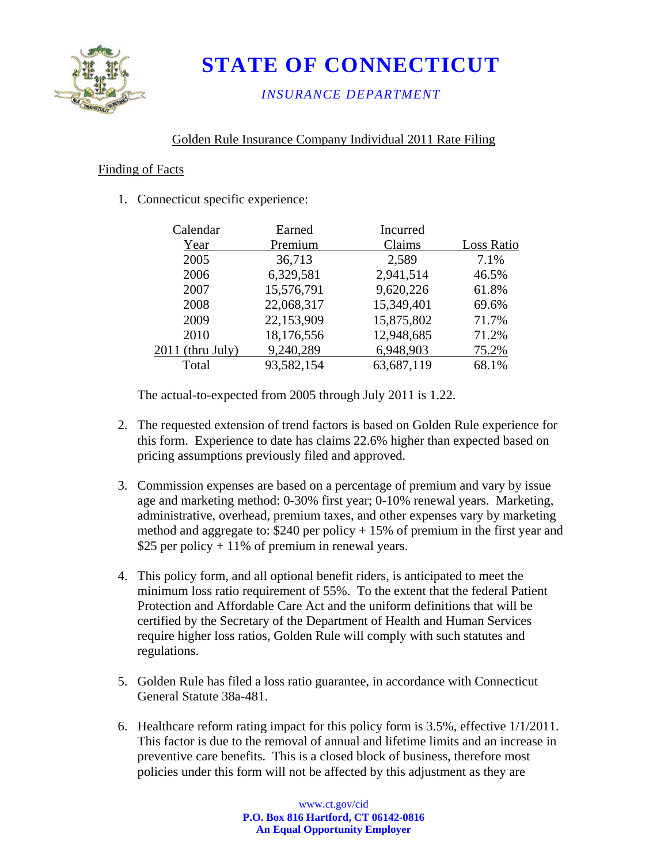

# **STATE OF CONNECTICUT**

*INSURANCE DEPARTMENT* 

# Golden Rule Insurance Company Individual 2011 Rate Filing

#### Finding of Facts

1. Connecticut specific experience:

| Calendar           | Earned     | Incurred   |            |
|--------------------|------------|------------|------------|
| Year               | Premium    | Claims     | Loss Ratio |
| 2005               | 36,713     | 2,589      | 7.1%       |
| 2006               | 6,329,581  | 2,941,514  | 46.5%      |
| 2007               | 15,576,791 | 9,620,226  | 61.8%      |
| 2008               | 22,068,317 | 15,349,401 | 69.6%      |
| 2009               | 22,153,909 | 15,875,802 | 71.7%      |
| 2010               | 18,176,556 | 12,948,685 | 71.2%      |
| $2011$ (thru July) | 9,240,289  | 6,948,903  | 75.2%      |
| Total              | 93,582,154 | 63,687,119 | 68.1%      |
|                    |            |            |            |

The actual-to-expected from 2005 through July 2011 is 1.22.

- 2. The requested extension of trend factors is based on Golden Rule experience for this form. Experience to date has claims 22.6% higher than expected based on pricing assumptions previously filed and approved.
- 3. Commission expenses are based on a percentage of premium and vary by issue age and marketing method: 0-30% first year; 0-10% renewal years. Marketing, administrative, overhead, premium taxes, and other expenses vary by marketing method and aggregate to: \$240 per policy + 15% of premium in the first year and \$25 per policy  $+11\%$  of premium in renewal years.
- 4. This policy form, and all optional benefit riders, is anticipated to meet the minimum loss ratio requirement of 55%. To the extent that the federal Patient Protection and Affordable Care Act and the uniform definitions that will be certified by the Secretary of the Department of Health and Human Services require higher loss ratios, Golden Rule will comply with such statutes and regulations.
- 5. Golden Rule has filed a loss ratio guarantee, in accordance with Connecticut General Statute 38a-481.
- 6. Healthcare reform rating impact for this policy form is 3.5%, effective 1/1/2011. This factor is due to the removal of annual and lifetime limits and an increase in preventive care benefits. This is a closed block of business, therefore most policies under this form will not be affected by this adjustment as they are

www.ct.gov/cid **P.O. Box 816 Hartford, CT 06142-0816 An Equal Opportunity Employer**